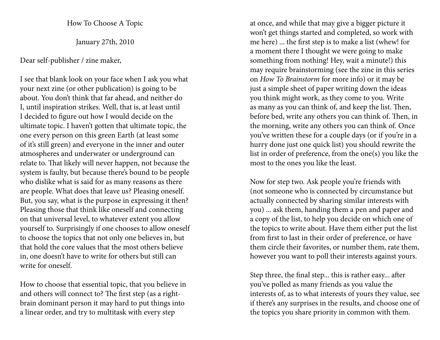How To Choose A Topic

January 27th, 2010

Dear self-publisher / zine maker,

I see that blank look on your face when I ask you what your next zine (or other publication) is going to be about. You don't think that far ahead, and neither do I, until inspiration strikes. Well, that is, at least until I decided to figure out how I would decide on the ultimate topic. I haven't gotten that ultimate topic, the one every person on this green Earth (at least some of it's still green) and everyone in the inner and outeratmospheres and underwater or underground canrelate to. That likely will never happen, not because the system is faulty, but because there's bound to be people who dislike what is said for as many reasons as there are people. What does that leave us? Pleasing oneself. But, you say, what is the purpose in expressing it then? Pleasing those that think like oneself and connecting on that universal level, to whatever extent you allow yourself to. Surprisingly if one chooses to allow oneself to choose the topics that not only one believes in, but that hold the core values that the most others believe in, one doesn't have to write for others but still can write for oneself.

How to choose that essential topic, that you believe in and others will connect to? The first step (as a rightbrain dominant person it may hard to put things into a linear order, and try to multitask with every step

at once, and while that may give a bigger picture it won't get things started and completed, so work with me here) ... the first step is to make a list (whew! for a moment there I thought we were going to make something from nothing! Hey, wait a minute!) this may require brainstorming (see the zine in this series on How To Brainstorm for more info) or it may be just a simple sheet of paper writing down the ideas you think might work, as they come to you. Writeas many as you can think of, and keep the list. Then, before bed, write any others you can think of. Then, in the morning, write any others you can think of. Once you've written these for a couple days (or if you're in a hurry done just one quick list) you should rewrite the list in order of preference, from the one(s) you like the most to the ones you like the least.

Now for step two. Ask people you're friends with (not someone who is connected by circumstance but actually connected by sharing similar interests with you) ... ask them, handing them a pen and paper and a copy of the list, to help you decide on which one of the topics to write about. Have them either put the list from first to last in their order of preference, or have them circle their favorites, or number them, rate them, however you want to poll their interests against yours.

Step three, the final step... this is rather easy... after you've polled as many friends as you value the interests of, as to what interests of yours they value, see if there's any surprises in the results, and choose one of the topics you share priority in common with them.